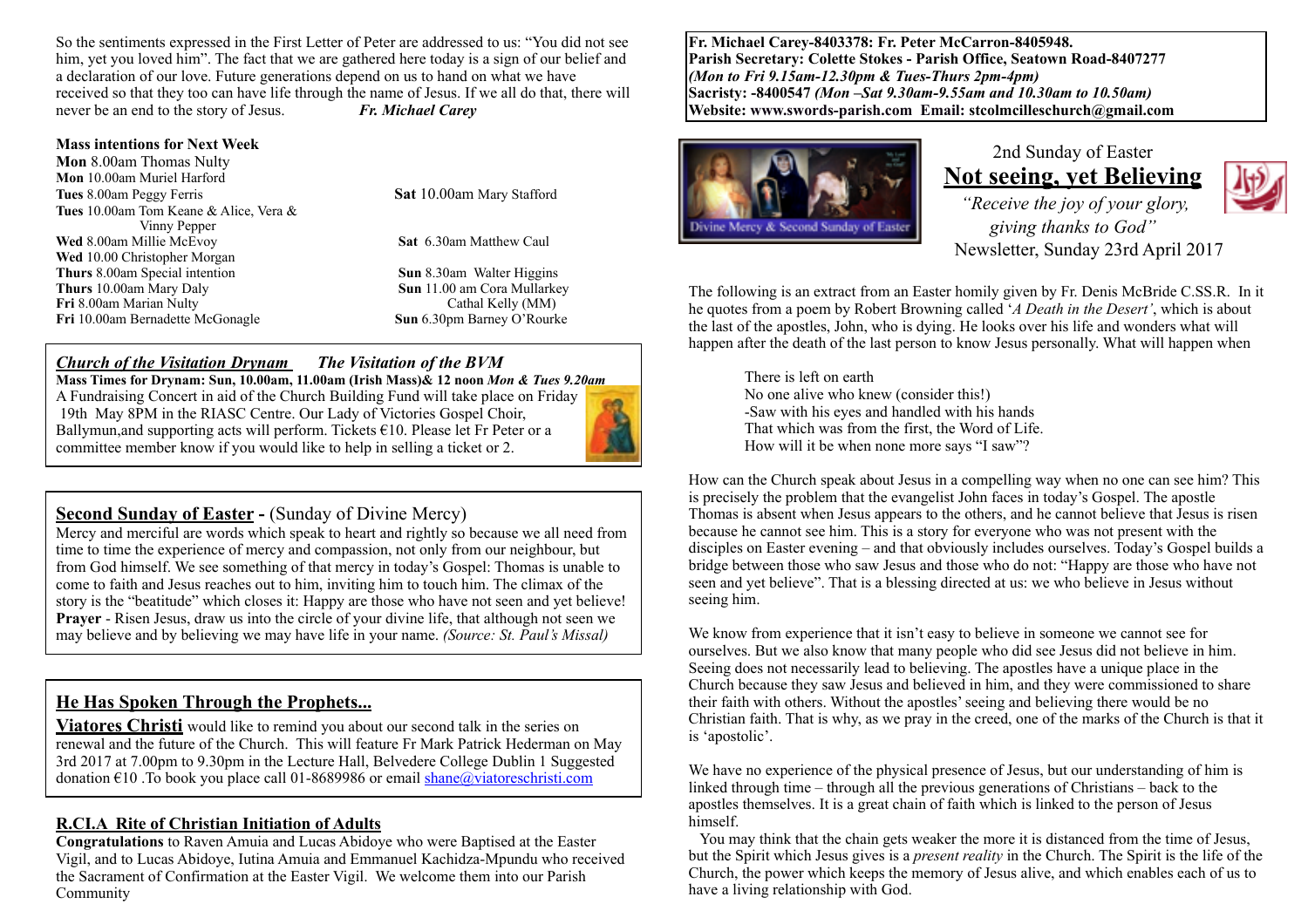So the sentiments expressed in the First Letter of Peter are addressed to us: "You did not see him, yet you loved him". The fact that we are gathered here today is a sign of our belief and a declaration of our love. Future generations depend on us to hand on what we have received so that they too can have life through the name of Jesus. If we all do that, there will never be an end to the story of Jesus. *Fr. Michael Carey*

#### **Mass intentions for Next Week**

**Mon** 8.00am Thomas Nulty **Mon** 10.00am Muriel Harford **Tues** 8.00am Peggy Ferris **Sat** 10.00am Mary Stafford **Tues** 10.00am Tom Keane & Alice, Vera & Vinny Pepper **Wed** 8.00am Millie McEvoy **Sat** 6.30am Matthew Caul **Wed** 10.00 Christopher Morgan **Thurs** 8.00am Special intention **Sun** 8.30am Walter Higgins **Thurs** 10.00am Mary Daly **Sun** 11.00 am Cora Mullarkey **Fri** 8.00am Marian Nulty **Cathal Kelly (MM)**<br> **Fri** 10.00am Bernadette McGonagle **Cathal Cathal Cathal Kelly Cathal Kelly (MM) Fri** 10.00am Bernadette McGonagle

#### *Church of the Visitation Drynam**The Visitation of the BVM*

**Mass Times for Drynam: Sun, 10.00am, 11.00am (Irish Mass)& 12 noon** *Mon & Tues 9.20am* A Fundraising Concert in aid of the Church Building Fund will take place on Friday 19th May 8PM in the RIASC Centre. Our Lady of Victories Gospel Choir, Ballymun, and supporting acts will perform. Tickets  $\epsilon$ 10. Please let Fr Peter or a committee member know if you would like to help in selling a ticket or 2.



Mercy and merciful are words which speak to heart and rightly so because we all need from time to time the experience of mercy and compassion, not only from our neighbour, but from God himself. We see something of that mercy in today's Gospel: Thomas is unable to come to faith and Jesus reaches out to him, inviting him to touch him. The climax of the story is the "beatitude" which closes it: Happy are those who have not seen and yet believe! **Prayer** - Risen Jesus, draw us into the circle of your divine life, that although not seen we may believe and by believing we may have life in your name. *(Source: St. Paul's Missal)*

#### **He Has Spoken Through the Prophets...**

**Viatores Christi** would like to remind you about our second talk in the series on renewal and the future of the Church. This will feature Fr Mark Patrick Hederman on May 3rd 2017 at 7.00pm to 9.30pm in the Lecture Hall, Belvedere College Dublin 1 Suggested donation  $\epsilon$ 10. To book you place call 01-8689986 or email [shane@viatoreschristi.com](mailto:shane@viatoreschristi.com)

#### **R.CI.A Rite of Christian Initiation of Adults**

**Congratulations** to Raven Amuia and Lucas Abidoye who were Baptised at the Easter Vigil, and to Lucas Abidoye, Iutina Amuia and Emmanuel Kachidza-Mpundu who received the Sacrament of Confirmation at the Easter Vigil. We welcome them into our Parish Community

**Fr. Michael Carey-8403378: Fr. Peter McCarron-8405948. Parish Secretary: Colette Stokes - Parish Office, Seatown Road-8407277**  *(Mon to Fri 9.15am-12.30pm & Tues-Thurs 2pm-4pm)*  **Sacristy: -8400547** *(Mon –Sat 9.30am-9.55am and 10.30am to 10.50am)* **Website: [www.swords-parish.com Email:](http://www.swords-parish.com%20%20email) stcolmcilleschurch@gmail.com**



2nd Sunday of Easter **Not seeing, yet Believing**   *"Receive the joy of your glory, giving thanks to God"*  Newsletter, Sunday 23rd April 2017



The following is an extract from an Easter homily given by Fr. Denis McBride C.SS.R. In it he quotes from a poem by Robert Browning called '*A Death in the Desert'*, which is about the last of the apostles, John, who is dying. He looks over his life and wonders what will happen after the death of the last person to know Jesus personally. What will happen when

There is left on earth No one alive who knew (consider this!) -Saw with his eyes and handled with his hands That which was from the first, the Word of Life. How will it be when none more says "I saw"?

How can the Church speak about Jesus in a compelling way when no one can see him? This is precisely the problem that the evangelist John faces in today's Gospel. The apostle Thomas is absent when Jesus appears to the others, and he cannot believe that Jesus is risen because he cannot see him. This is a story for everyone who was not present with the disciples on Easter evening – and that obviously includes ourselves. Today's Gospel builds a bridge between those who saw Jesus and those who do not: "Happy are those who have not seen and yet believe". That is a blessing directed at us: we who believe in Jesus without seeing him.

We know from experience that it isn't easy to believe in someone we cannot see for ourselves. But we also know that many people who did see Jesus did not believe in him. Seeing does not necessarily lead to believing. The apostles have a unique place in the Church because they saw Jesus and believed in him, and they were commissioned to share their faith with others. Without the apostles' seeing and believing there would be no Christian faith. That is why, as we pray in the creed, one of the marks of the Church is that it is 'apostolic'.

We have no experience of the physical presence of Jesus, but our understanding of him is linked through time – through all the previous generations of Christians – back to the apostles themselves. It is a great chain of faith which is linked to the person of Jesus himself.

 You may think that the chain gets weaker the more it is distanced from the time of Jesus, but the Spirit which Jesus gives is a *present reality* in the Church. The Spirit is the life of the Church, the power which keeps the memory of Jesus alive, and which enables each of us to have a living relationship with God.